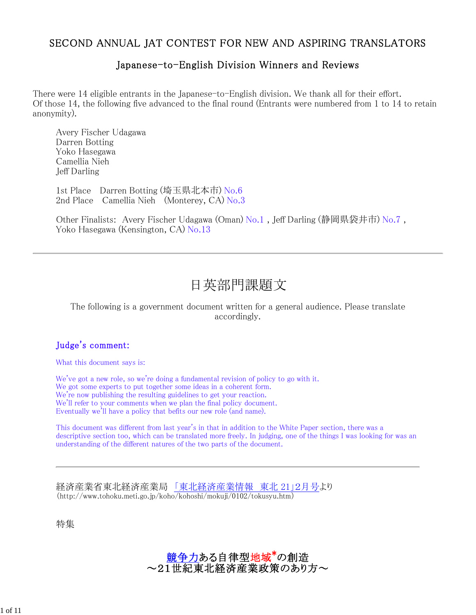# SECOND ANNUAL JAT CONTEST FOR NEW AND ASPIRING TRANSLATORS

# Japanese-to-English Division Winners and Reviews

There were 14 eligible entrants in the Japanese-to-English division. We thank all for their effort. Of those 14, the following five advanced to the final round (Entrants were numbered from 1 to 14 to retain anonymity).

Avery Fischer Udagawa Darren Botting Yoko Hasegawa Camellia Nieh Jeff Darling

1st Place Darren Botting (埼玉県北本市) No.6 2nd Place Camellia Nieh (Monterey, CA) No.3

Other Finalists: Avery Fischer Udagawa (Oman) No.1 , Jeff Darling (静岡県袋井市) No.7 , Yoko Hasegawa (Kensington, CA) No.13

# 日英部門課題文

#### The following is a government document written for a general audience. Please translate accordingly.

## Judge's comment:

What this document says is:

We've got a new role, so we're doing a fundamental revision of policy to go with it. We got some experts to put together some ideas in a coherent form. We're now publishing the resulting guidelines to get your reaction. We'll refer to your comments when we plan the final policy document. Eventually we'll have a policy that befits our new role (and name).

This document was different from last year's in that in addition to the White Paper section, there was a descriptive section too, which can be translated more freely. In judging, one of the things I was looking for was an understanding of the different natures of the two parts of the document.

経済産業省東北経済産業局 「東北経済産業情報 東北 21」2月号より (http://www.tohoku.meti.go.jp/koho/kohoshi/mokuji/0102/tokusyu.htm)

特集



1 of 11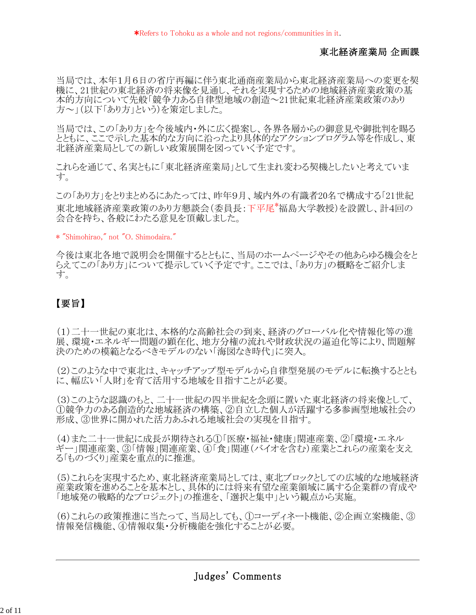## 東北経済産業局 企画課

当局では、本年1月6日の省庁再編に伴う東北通商産業局から東北経済産業局への変更を契 機に、21世紀の東北経済の将来像を見通し、それを実現するための地域経済産業政策の基 本的方向について先般「競争力ある自律型地域の創造~21世紀東北経済産業政策のあり 方~」(以下「あり方」という)を策定しました。

当局では、この「あり方」を今後域内・外に広く提案し、各界各層からの御意見や御批判を賜る とともに、ここで示した基本的な方向に沿ったより具体的なアクションプログラム等を作成し、東 北経済産業局としての新しい政策展開を図っていく予定です。

これらを通じて、名実ともに「東北経済産業局」として生まれ変わる契機としたいと考えていま す。

この「あり方」をとりまとめるにあたっては、昨年9月、域内外の有識者20名で構成する「21世紀 東北地域経済産業政策のあり方懇談会(委員長:下平尾\*福島大学教授)を設置し、計4回の 会合を持ち、各般にわたる意見を頂戴しました。

\* "Shimohirao," not "O. Shimodaira."

今後は東北各地で説明会を開催するとともに、当局のホームページやその他あらゆる機会をと らえてこの「あり方」について提示していく予定です。ここでは、「あり方」の概略をご紹介しま す。

# 【要旨】

(1)二十一世紀の東北は、本格的な高齢社会の到来、経済のグローバル化や情報化等の進 展、環境・エネルギー問題の顕在化、地方分権の流れや財政状況の逼迫化等により、問題解 決のための模範となるべきモデルのない「海図なき時代」に突入。

(2)このような中で東北は、キャッチアップ型モデルから自律型発展のモデルに転換するととも に、幅広い「人財」を育て活用する地域を目指すことが必要。

(3)このような認識のもと、二十一世紀の四半世紀を念頭に置いた東北経済の将来像として、 ①競争力のある創造的な地域経済の構築、②自立した個人が活躍する多参画型地域社会の 形成、③世界に開かれた活力あふれる地域社会の実現を目指す。

(4)また二十一世紀に成長が期待される①「医療・福祉・健康」関連産業、②「環境・エネル ギー」関連産業、③「情報」関連産業、④「食」関連(バイオを含む)産業とこれらの産業を支え る「ものづくり」産業を重点的に推進。

(5)これらを実現するため、東北経済産業局としては、東北ブロックとしての広域的な地域経済 産業政策を進めることを基本とし、具体的には将来有望な産業領域に属する企業群の育成や 「地域発の戦略的なプロジェクト」の推進を、「選択と集中」という観点から実施。

(6)これらの政策推進に当たって、当局としても、①コーディネート機能、②企画立案機能、③ 情報発信機能、④情報収集・分析機能を強化することが必要。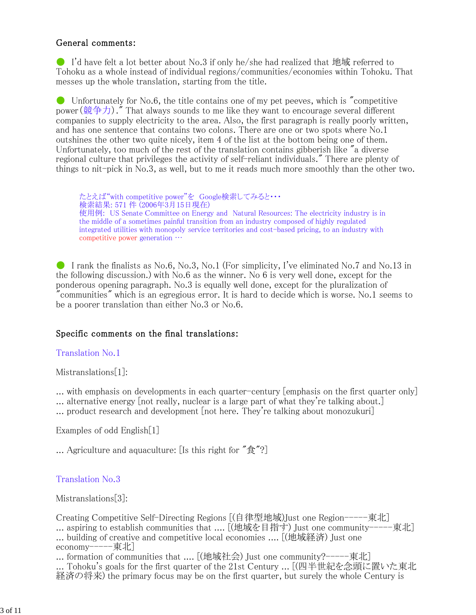## General comments:

**•** I'd have felt a lot better about No.3 if only he/she had realized that 地域 referred to Tohoku as a whole instead of individual regions/communities/economies within Tohoku. That messes up the whole translation, starting from the title.

● Unfortunately for No.6, the title contains one of my pet peeves, which is "competitive power (競争力)." That always sounds to me like they want to encourage several different companies to supply electricity to the area. Also, the first paragraph is really poorly written, and has one sentence that contains two colons. There are one or two spots where No.1 outshines the other two quite nicely, item 4 of the list at the bottom being one of them. Unfortunately, too much of the rest of the translation contains gibberish like "a diverse regional culture that privileges the activity of self-reliant individuals." There are plenty of things to nit-pick in No.3, as well, but to me it reads much more smoothly than the other two.

たとえば"with competitive power"を Google検索してみると・・・ 検索結果: 571 件 (2006年3月15日現在) 使用例: US Senate Committee on Energy and Natural Resources: The electricity industry is in the middle of a sometimes painful transition from an industry composed of highly regulated integrated utilities with monopoly service territories and cost-based pricing, to an industry with competitive power generation …

I rank the finalists as No.6, No.3, No.1 (For simplicity, I've eliminated No.7 and No.13 in the following discussion.) with No.6 as the winner. No 6 is very well done, except for the ponderous opening paragraph. No.3 is equally well done, except for the pluralization of "communities" which is an egregious error. It is hard to decide which is worse. No.1 seems to be a poorer translation than either No.3 or No.6.

## Specific comments on the final translations:

#### Translation No.1

Mistranslations[1]:

... with emphasis on developments in each quarter-century [emphasis on the first quarter only] ... alternative energy [not really, nuclear is a large part of what they're talking about.]

... product research and development [not here. They're talking about monozukuri]

Examples of odd English[1]

... Agriculture and aquaculture: [Is this right for "食"?]

#### Translation No.3

Mistranslations[3]:

Creating Competitive Self-Directing Regions [(自律型地域)Just one Region-----東北] ... aspiring to establish communities that .... [(地域を目指す) Just one community-----東北] ... building of creative and competitive local economies .... [(地域経済) Just one economy-----東北]

... formation of communities that .... [(地域社会) Just one community?-----東北]

... Tohoku's goals for the first quarter of the 21st Century ... [(四半世紀を念頭に置いた東北 経済の将来) the primary focus may be on the first quarter, but surely the whole Century is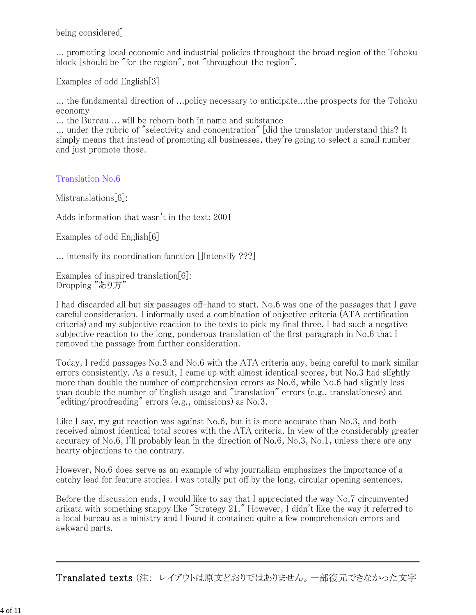being considered]

... promoting local economic and industrial policies throughout the broad region of the Tohoku block [should be "for the region", not "throughout the region".

Examples of odd English[3]

... the fundamental direction of ...policy necessary to anticipate...the prospects for the Tohoku economy

... the Bureau ... will be reborn both in name and substance

... under the rubric of "selectivity and concentration" [did the translator understand this? It simply means that instead of promoting all businesses, they're going to select a small number and just promote those.

Translation No.6

Mistranslations[6]:

Adds information that wasn't in the text: 2001

Examples of odd English[6]

 $\ldots$  intensify its coordination function [Intensify ???]

Examples of inspired translation[6]: Dropping "あり方"

I had discarded all but six passages off-hand to start. No.6 was one of the passages that I gave careful consideration. I informally used a combination of objective criteria (ATA certification criteria) and my subjective reaction to the texts to pick my final three. I had such a negative subjective reaction to the long, ponderous translation of the first paragraph in No.6 that I removed the passage from further consideration.

Today, I redid passages No.3 and No.6 with the ATA criteria any, being careful to mark similar errors consistently. As a result, I came up with almost identical scores, but No.3 had slightly more than double the number of comprehension errors as No.6, while No.6 had slightly less than double the number of English usage and "translation" errors (e.g., translationese) and  $\text{"editing/proofreading" errors (e.g., omissions) as No.3.}$ 

Like I say, my gut reaction was against No.6, but it is more accurate than No.3, and both received almost identical total scores with the ATA criteria. In view of the considerably greater accuracy of No.6, I'll probably lean in the direction of No.6, No.3, No.1, unless there are any hearty objections to the contrary.

However, No.6 does serve as an example of why journalism emphasizes the importance of a catchy lead for feature stories. I was totally put off by the long, circular opening sentences.

Before the discussion ends, I would like to say that I appreciated the way No.7 circumvented arikata with something snappy like "Strategy 21." However, I didn't like the way it referred to a local bureau as a ministry and I found it contained quite a few comprehension errors and awkward parts.

Translated texts (注: レイアウトは原文どおりではありません。一部復元できなかった文字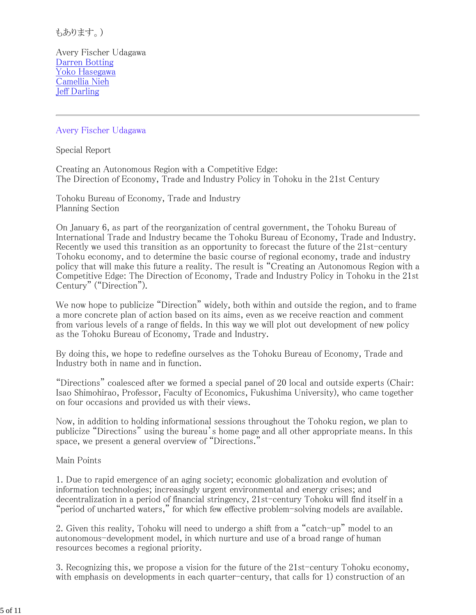もあります。)

Avery Fischer Udagawa Darren Botting Yoko Hasegawa Camellia Nieh Jeff Darling

#### Avery Fischer Udagawa

Special Report

Creating an Autonomous Region with a Competitive Edge: The Direction of Economy, Trade and Industry Policy in Tohoku in the 21st Century

Tohoku Bureau of Economy, Trade and Industry Planning Section

On January 6, as part of the reorganization of central government, the Tohoku Bureau of International Trade and Industry became the Tohoku Bureau of Economy, Trade and Industry. Recently we used this transition as an opportunity to forecast the future of the 21st-century Tohoku economy, and to determine the basic course of regional economy, trade and industry policy that will make this future a reality. The result is "Creating an Autonomous Region with a Competitive Edge: The Direction of Economy, Trade and Industry Policy in Tohoku in the 21st Century" ("Direction").

We now hope to publicize "Direction" widely, both within and outside the region, and to frame a more concrete plan of action based on its aims, even as we receive reaction and comment from various levels of a range of fields. In this way we will plot out development of new policy as the Tohoku Bureau of Economy, Trade and Industry.

By doing this, we hope to redefine ourselves as the Tohoku Bureau of Economy, Trade and Industry both in name and in function.

"Directions" coalesced after we formed a special panel of 20 local and outside experts (Chair: Isao Shimohirao, Professor, Faculty of Economics, Fukushima University), who came together on four occasions and provided us with their views.

Now, in addition to holding informational sessions throughout the Tohoku region, we plan to publicize "Directions" using the bureau's home page and all other appropriate means. In this space, we present a general overview of "Directions."

Main Points

1. Due to rapid emergence of an aging society; economic globalization and evolution of information technologies; increasingly urgent environmental and energy crises; and decentralization in a period of financial stringency, 21st-century Tohoku will find itself in a "period of uncharted waters," for which few effective problem-solving models are available.

2. Given this reality, Tohoku will need to undergo a shift from a "catch-up" model to an autonomous-development model, in which nurture and use of a broad range of human resources becomes a regional priority.

3. Recognizing this, we propose a vision for the future of the 21st-century Tohoku economy, with emphasis on developments in each quarter-century, that calls for 1) construction of an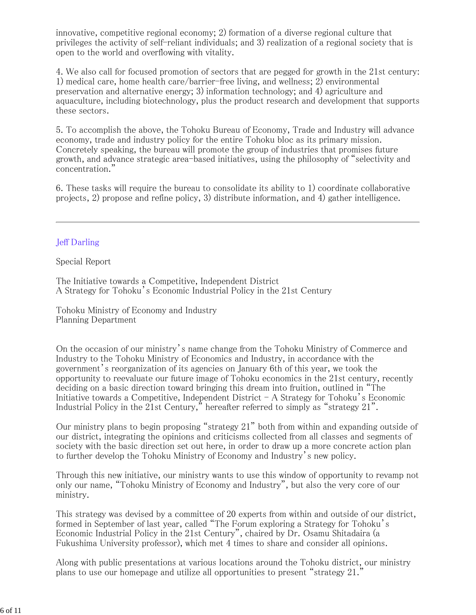innovative, competitive regional economy; 2) formation of a diverse regional culture that privileges the activity of self-reliant individuals; and 3) realization of a regional society that is open to the world and overflowing with vitality.

4. We also call for focused promotion of sectors that are pegged for growth in the 21st century: 1) medical care, home health care/barrier-free living, and wellness; 2) environmental preservation and alternative energy; 3) information technology; and 4) agriculture and aquaculture, including biotechnology, plus the product research and development that supports these sectors.

5. To accomplish the above, the Tohoku Bureau of Economy, Trade and Industry will advance economy, trade and industry policy for the entire Tohoku bloc as its primary mission. Concretely speaking, the bureau will promote the group of industries that promises future growth, and advance strategic area-based initiatives, using the philosophy of "selectivity and concentration."

6. These tasks will require the bureau to consolidate its ability to 1) coordinate collaborative projects, 2) propose and refine policy, 3) distribute information, and 4) gather intelligence.

#### Jeff Darling

Special Report

The Initiative towards a Competitive, Independent District A Strategy for Tohoku's Economic Industrial Policy in the 21st Century

Tohoku Ministry of Economy and Industry Planning Department

On the occasion of our ministry's name change from the Tohoku Ministry of Commerce and Industry to the Tohoku Ministry of Economics and Industry, in accordance with the government's reorganization of its agencies on January 6th of this year, we took the opportunity to reevaluate our future image of Tohoku economics in the 21st century, recently deciding on a basic direction toward bringing this dream into fruition, outlined in "The Initiative towards a Competitive, Independent District - A Strategy for Tohoku's Economic Industrial Policy in the 21st Century," hereafter referred to simply as "strategy  $21$ ".

Our ministry plans to begin proposing "strategy 21" both from within and expanding outside of our district, integrating the opinions and criticisms collected from all classes and segments of society with the basic direction set out here, in order to draw up a more concrete action plan to further develop the Tohoku Ministry of Economy and Industry's new policy.

Through this new initiative, our ministry wants to use this window of opportunity to revamp not only our name, "Tohoku Ministry of Economy and Industry", but also the very core of our ministry.

This strategy was devised by a committee of 20 experts from within and outside of our district, formed in September of last year, called "The Forum exploring a Strategy for Tohoku's Economic Industrial Policy in the 21st Century", chaired by Dr. Osamu Shitadaira (a Fukushima University professor), which met 4 times to share and consider all opinions.

Along with public presentations at various locations around the Tohoku district, our ministry plans to use our homepage and utilize all opportunities to present "strategy 21."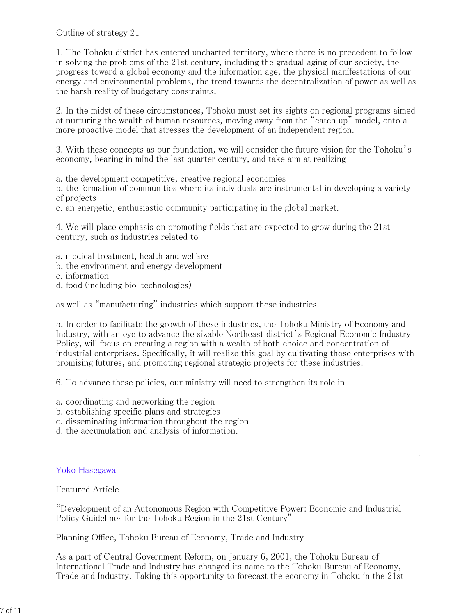#### Outline of strategy 21

1. The Tohoku district has entered uncharted territory, where there is no precedent to follow in solving the problems of the 21st century, including the gradual aging of our society, the progress toward a global economy and the information age, the physical manifestations of our energy and environmental problems, the trend towards the decentralization of power as well as the harsh reality of budgetary constraints.

2. In the midst of these circumstances, Tohoku must set its sights on regional programs aimed at nurturing the wealth of human resources, moving away from the "catch up" model, onto a more proactive model that stresses the development of an independent region.

3. With these concepts as our foundation, we will consider the future vision for the Tohoku's economy, bearing in mind the last quarter century, and take aim at realizing

a. the development competitive, creative regional economies

b. the formation of communities where its individuals are instrumental in developing a variety of projects

c. an energetic, enthusiastic community participating in the global market.

4. We will place emphasis on promoting fields that are expected to grow during the 21st century, such as industries related to

- a. medical treatment, health and welfare
- b. the environment and energy development
- c. information
- d. food (including bio-technologies)

as well as "manufacturing" industries which support these industries.

5. In order to facilitate the growth of these industries, the Tohoku Ministry of Economy and Industry, with an eye to advance the sizable Northeast district's Regional Economic Industry Policy, will focus on creating a region with a wealth of both choice and concentration of industrial enterprises. Specifically, it will realize this goal by cultivating those enterprises with promising futures, and promoting regional strategic projects for these industries.

6. To advance these policies, our ministry will need to strengthen its role in

- a. coordinating and networking the region
- b. establishing specific plans and strategies
- c. disseminating information throughout the region
- d. the accumulation and analysis of information.

#### Yoko Hasegawa

Featured Article

"Development of an Autonomous Region with Competitive Power: Economic and Industrial Policy Guidelines for the Tohoku Region in the 21st Century"

Planning Office, Tohoku Bureau of Economy, Trade and Industry

As a part of Central Government Reform, on January 6, 2001, the Tohoku Bureau of International Trade and Industry has changed its name to the Tohoku Bureau of Economy, Trade and Industry. Taking this opportunity to forecast the economy in Tohoku in the 21st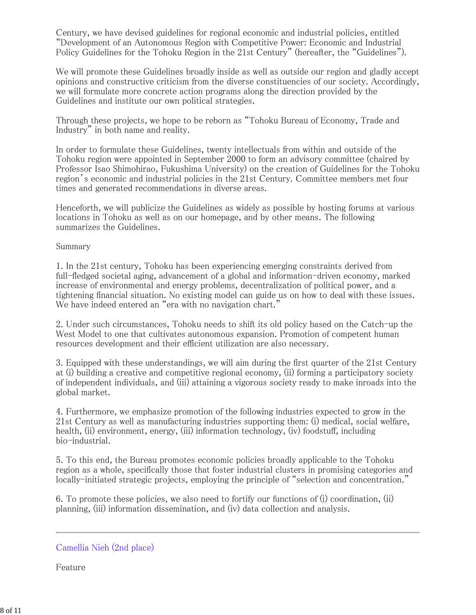Century, we have devised guidelines for regional economic and industrial policies, entitled "Development of an Autonomous Region with Competitive Power: Economic and Industrial Policy Guidelines for the Tohoku Region in the 21st Century" (hereafter, the "Guidelines").

We will promote these Guidelines broadly inside as well as outside our region and gladly accept opinions and constructive criticism from the diverse constituencies of our society. Accordingly, we will formulate more concrete action programs along the direction provided by the Guidelines and institute our own political strategies.

Through these projects, we hope to be reborn as "Tohoku Bureau of Economy, Trade and Industry" in both name and reality.

In order to formulate these Guidelines, twenty intellectuals from within and outside of the Tohoku region were appointed in September 2000 to form an advisory committee (chaired by Professor Isao Shimohirao, Fukushima University) on the creation of Guidelines for the Tohoku region's economic and industrial policies in the 21st Century. Committee members met four times and generated recommendations in diverse areas.

Henceforth, we will publicize the Guidelines as widely as possible by hosting forums at various locations in Tohoku as well as on our homepage, and by other means. The following summarizes the Guidelines.

#### Summary

1. In the 21st century, Tohoku has been experiencing emerging constraints derived from full-fledged societal aging, advancement of a global and information-driven economy, marked increase of environmental and energy problems, decentralization of political power, and a tightening financial situation. No existing model can guide us on how to deal with these issues. We have indeed entered an "era with no navigation chart."

2. Under such circumstances, Tohoku needs to shift its old policy based on the Catch-up the West Model to one that cultivates autonomous expansion. Promotion of competent human resources development and their efficient utilization are also necessary.

3. Equipped with these understandings, we will aim during the first quarter of the 21st Century at (i) building a creative and competitive regional economy, (ii) forming a participatory society of independent individuals, and (iii) attaining a vigorous society ready to make inroads into the global market.

4. Furthermore, we emphasize promotion of the following industries expected to grow in the 21st Century as well as manufacturing industries supporting them: (i) medical, social welfare, health, (ii) environment, energy, (iii) information technology, (iv) foodstuff, including bio-industrial.

5. To this end, the Bureau promotes economic policies broadly applicable to the Tohoku region as a whole, specifically those that foster industrial clusters in promising categories and locally-initiated strategic projects, employing the principle of "selection and concentration."

6. To promote these policies, we also need to fortify our functions of (i) coordination, (ii) planning, (iii) information dissemination, and (iv) data collection and analysis.

#### Camellia Nieh (2nd place)

Feature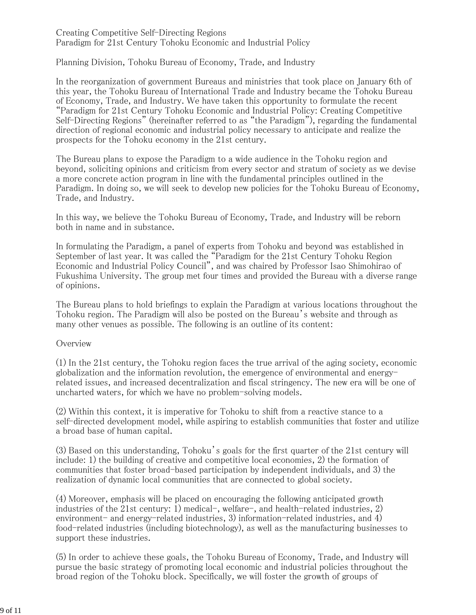#### Creating Competitive Self-Directing Regions Paradigm for 21st Century Tohoku Economic and Industrial Policy

Planning Division, Tohoku Bureau of Economy, Trade, and Industry

In the reorganization of government Bureaus and ministries that took place on January 6th of this year, the Tohoku Bureau of International Trade and Industry became the Tohoku Bureau of Economy, Trade, and Industry. We have taken this opportunity to formulate the recent "Paradigm for 21st Century Tohoku Economic and Industrial Policy: Creating Competitive Self-Directing Regions" (hereinafter referred to as "the Paradigm"), regarding the fundamental direction of regional economic and industrial policy necessary to anticipate and realize the prospects for the Tohoku economy in the 21st century.

The Bureau plans to expose the Paradigm to a wide audience in the Tohoku region and beyond, soliciting opinions and criticism from every sector and stratum of society as we devise a more concrete action program in line with the fundamental principles outlined in the Paradigm. In doing so, we will seek to develop new policies for the Tohoku Bureau of Economy, Trade, and Industry.

In this way, we believe the Tohoku Bureau of Economy, Trade, and Industry will be reborn both in name and in substance.

In formulating the Paradigm, a panel of experts from Tohoku and beyond was established in September of last year. It was called the "Paradigm for the 21st Century Tohoku Region Economic and Industrial Policy Council", and was chaired by Professor Isao Shimohirao of Fukushima University. The group met four times and provided the Bureau with a diverse range of opinions.

The Bureau plans to hold briefings to explain the Paradigm at various locations throughout the Tohoku region. The Paradigm will also be posted on the Bureau's website and through as many other venues as possible. The following is an outline of its content:

#### **Overview**

(1) In the 21st century, the Tohoku region faces the true arrival of the aging society, economic globalization and the information revolution, the emergence of environmental and energyrelated issues, and increased decentralization and fiscal stringency. The new era will be one of uncharted waters, for which we have no problem-solving models.

(2) Within this context, it is imperative for Tohoku to shift from a reactive stance to a self-directed development model, while aspiring to establish communities that foster and utilize a broad base of human capital.

(3) Based on this understanding, Tohoku's goals for the first quarter of the 21st century will include: 1) the building of creative and competitive local economies, 2) the formation of communities that foster broad-based participation by independent individuals, and 3) the realization of dynamic local communities that are connected to global society.

(4) Moreover, emphasis will be placed on encouraging the following anticipated growth industries of the 21st century: 1) medical-, welfare-, and health-related industries, 2) environment- and energy-related industries, 3) information-related industries, and 4) food-related industries (including biotechnology), as well as the manufacturing businesses to support these industries.

(5) In order to achieve these goals, the Tohoku Bureau of Economy, Trade, and Industry will pursue the basic strategy of promoting local economic and industrial policies throughout the broad region of the Tohoku block. Specifically, we will foster the growth of groups of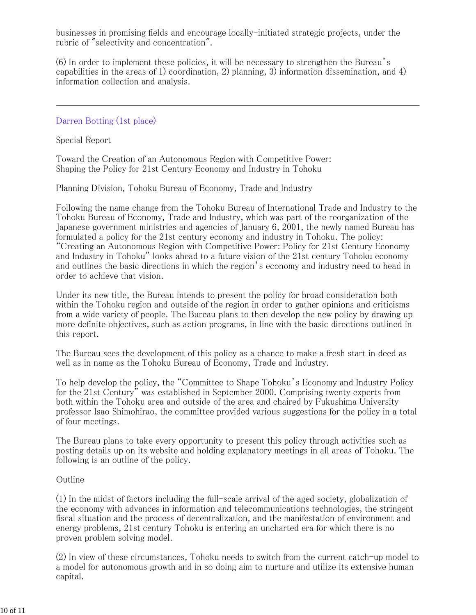businesses in promising fields and encourage locally-initiated strategic projects, under the rubric of "selectivity and concentration".

(6) In order to implement these policies, it will be necessary to strengthen the Bureau's capabilities in the areas of 1) coordination, 2) planning, 3) information dissemination, and 4) information collection and analysis.

Darren Botting (1st place)

Special Report

Toward the Creation of an Autonomous Region with Competitive Power: Shaping the Policy for 21st Century Economy and Industry in Tohoku

Planning Division, Tohoku Bureau of Economy, Trade and Industry

Following the name change from the Tohoku Bureau of International Trade and Industry to the Tohoku Bureau of Economy, Trade and Industry, which was part of the reorganization of the Japanese government ministries and agencies of January 6, 2001, the newly named Bureau has formulated a policy for the 21st century economy and industry in Tohoku. The policy: "Creating an Autonomous Region with Competitive Power: Policy for 21st Century Economy and Industry in Tohoku" looks ahead to a future vision of the 21st century Tohoku economy and outlines the basic directions in which the region's economy and industry need to head in order to achieve that vision.

Under its new title, the Bureau intends to present the policy for broad consideration both within the Tohoku region and outside of the region in order to gather opinions and criticisms from a wide variety of people. The Bureau plans to then develop the new policy by drawing up more definite objectives, such as action programs, in line with the basic directions outlined in this report.

The Bureau sees the development of this policy as a chance to make a fresh start in deed as well as in name as the Tohoku Bureau of Economy, Trade and Industry.

To help develop the policy, the "Committee to Shape Tohoku's Economy and Industry Policy for the 21st Century" was established in September 2000. Comprising twenty experts from both within the Tohoku area and outside of the area and chaired by Fukushima University professor Isao Shimohirao, the committee provided various suggestions for the policy in a total of four meetings.

The Bureau plans to take every opportunity to present this policy through activities such as posting details up on its website and holding explanatory meetings in all areas of Tohoku. The following is an outline of the policy.

#### Outline

(1) In the midst of factors including the full-scale arrival of the aged society, globalization of the economy with advances in information and telecommunications technologies, the stringent fiscal situation and the process of decentralization, and the manifestation of environment and energy problems, 21st century Tohoku is entering an uncharted era for which there is no proven problem solving model.

(2) In view of these circumstances, Tohoku needs to switch from the current catch-up model to a model for autonomous growth and in so doing aim to nurture and utilize its extensive human capital.